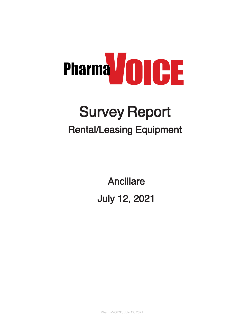

# Survey Report Rental/Leasing Equipment

Ancillare July 12, 2021

PharmaVOICE, July 12, 2021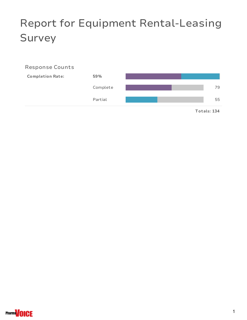# Report for Equipment Rental-Leasing Survey

#### Response Counts



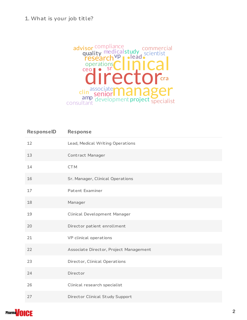#### 1. What is your job title?



| ResponselD | <b>Response</b>                        |
|------------|----------------------------------------|
| 12         | Lead, Medical Writing Operations       |
| 13         | Contract Manager                       |
| 14         | <b>CTM</b>                             |
| 16         | Sr. Manager, Clinical Operations       |
| 17         | Patent Examiner                        |
| 18         | Manager                                |
| 19         | <b>Clinical Development Manager</b>    |
| 20         | Director patient enrollment            |
| 21         | VP clinical operations                 |
| 22         | Associate Director, Project Management |
| 23         | Director, Clinical Operations          |
| 24         | Director                               |
| 26         | Clinical research specialist           |
| 27         | Director Clinical Study Support        |

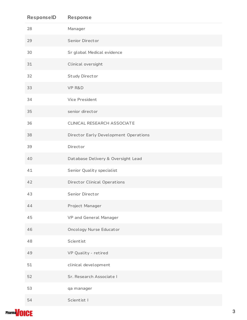| ResponselD | <b>Response</b>                       |
|------------|---------------------------------------|
| 28         | Manager                               |
| 29         | Senior Director                       |
| 30         | Sr global Medical evidence            |
| 31         | Clinical oversight                    |
| 32         | Study Director                        |
| 33         | VP R&D                                |
| 34         | Vice President                        |
| 35         | senior director                       |
| 36         | <b>CLINICAL RESEARCH ASSOCIATE</b>    |
| 38         | Director Early Development Operations |
| 39         | Director                              |
| 40         | Database Delivery & Oversight Lead    |
| 41         | Senior Quality specialist             |
| 42         | <b>Director Clinical Operations</b>   |
| 43         | Senior Director                       |
| 44         | Project Manager                       |
| 45         | VP and General Manager                |
| 46         | <b>Oncology Nurse Educator</b>        |
| 48         | Scientist                             |
| 49         | VP Quality - retired                  |
| 51         | clinical development                  |
| 52         | Sr. Research Associate I              |
| 53         | qa manager                            |
| 54         | Scientist I                           |

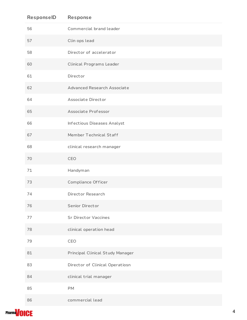| ResponselD | <b>Response</b>                    |
|------------|------------------------------------|
| 56         | Commercial brand leader            |
| 57         | Clin ops lead                      |
| 58         | Director of accelerator            |
| 60         | <b>Clinical Programs Leader</b>    |
| 61         | Director                           |
| 62         | <b>Advanced Research Associate</b> |
| 64         | Associate Director                 |
| 65         | Associate Professor                |
| 66         | Infectious Diseases Analyst        |
| 67         | Member Technical Staff             |
| 68         | clinical research manager          |
| 70         | CEO                                |
| 71         | Handyman                           |
| 73         | Compliance Officer                 |
| 74         | Director Research                  |
| 76         | Senior Director                    |
| 77         | <b>Sr Director Vaccines</b>        |
| 78         | clinical operation head            |
| 79         | CEO                                |
| 81         | Principal Clinical Study Manager   |
| 83         | Director of Clinical Operatiosn    |
| 84         | clinical trial manager             |
| 85         | PM                                 |
| 86         | commercial lead                    |

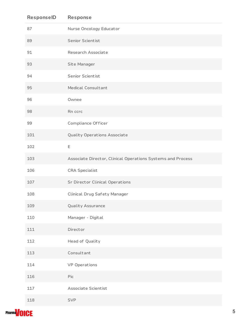| ResponselD | <b>Response</b>                                             |
|------------|-------------------------------------------------------------|
| 87         | Nurse Oncology Educator                                     |
| 89         | Senior Scientist                                            |
| 91         | Research Associate                                          |
| 93         | Site Manager                                                |
| 94         | Senior Scientist                                            |
| 95         | Medical Consultant                                          |
| 96         | Ownee                                                       |
| 98         | Rn ccrc                                                     |
| 99         | Compliance Officer                                          |
| 101        | <b>Quality Operations Associate</b>                         |
| 102        | Ε                                                           |
| 103        | Associate Director, Clinical Operations Systems and Process |
| 106        | <b>CRA Specialist</b>                                       |
| 107        | <b>Sr Director Clinical Operations</b>                      |
| 108        | Clinical Drug Safety Manager                                |
| 109        | <b>Quality Assurance</b>                                    |
| 110        | Manager - Digital                                           |
| 111        | Director                                                    |
| 112        | Head of Quality                                             |
| 113        | Consultant                                                  |
| 114        | <b>VP Operations</b>                                        |
| 116        | Pic                                                         |
| 117        | Associate Scientist                                         |
| 118        | <b>SVP</b>                                                  |

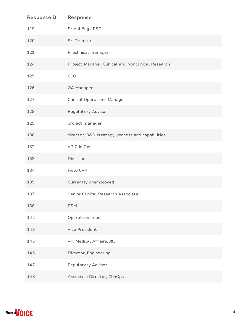| ResponselD | Response                                          |
|------------|---------------------------------------------------|
| 119        | Sr Val Eng / RSO                                  |
| 120        | Sr. Director                                      |
| 121        | Preclinical manager                               |
| 124        | Project Manager Clinical and Nonclinical Research |
| 125        | CEO                                               |
| 126        | QA Manager                                        |
| 127        | <b>Clinical Operations Manager</b>                |
| 128        | <b>Regulatory Advisor</b>                         |
| 129        | project manager                                   |
| 130        | director, R&D strategy, process and capabilities  |
| 132        | VP Clin Ops                                       |
| 133        | Dietician                                         |
| 134        | Field CRA                                         |
| 135        | Currently unemployed                              |
| 137        | Senior Clinical Research Associate                |
| 138        | <b>PSM</b>                                        |
| 142        | Operations lead                                   |
| 143        | Vice President                                    |
| 145        | VP, Medical Affairs, J&J                          |
| 146        | Director, Engineering                             |
| 147        | <b>Regulatory Advisor</b>                         |
| 148        | Associate Director, ClinOps                       |

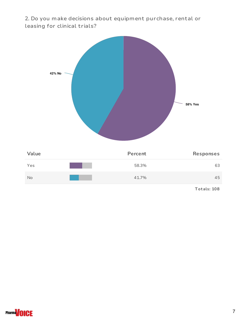2. Do you make decisions about equipment purchase, rental or leasing for clinical trials?



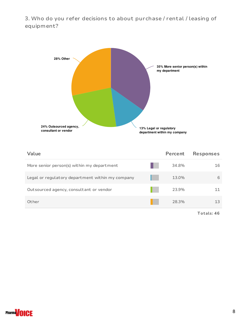3. Who do you refer decisions to about purchase / rental / leasing of equipment?



| Value                                            | Percent | <b>Responses</b> |
|--------------------------------------------------|---------|------------------|
| More senior person(s) within my department       | 34.8%   | 16               |
| Legal or regulatory department within my company | 13.0%   | 6                |
| Outsourced agency, consultant or vendor          | 23.9%   |                  |
| Other                                            | 28.3%   | 13               |

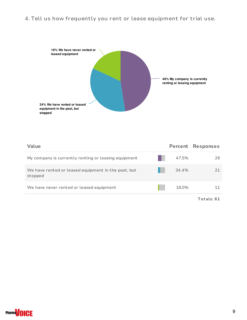## 4. Tell us how frequently you rent or lease equipment for trial use.



| Value                                                          | Percent | <b>Responses</b> |
|----------------------------------------------------------------|---------|------------------|
| My company is currently renting or leasing equipment           | 47.5%   | 29               |
| We have rented or leased equipment in the past, but<br>stopped | 34.4%   |                  |
| We have never rented or leased equipment                       | 18.0%   |                  |
|                                                                |         | Totals: 61       |

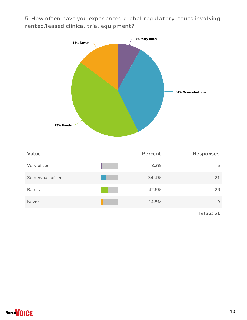5. How often have you experienced global regulatory issues involving rented/leased clinical trial equipment?



| Value          | Percent | <b>Responses</b> |
|----------------|---------|------------------|
| Very often     | 8.2%    | 5                |
| Somewhat often | 34.4%   | 21               |
| Rarely         | 42.6%   | 26               |
| Never          | 14.8%   | 9                |

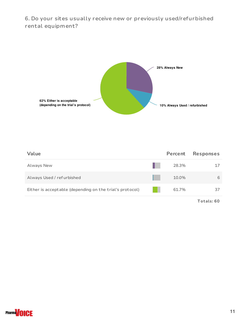6. Do your sites usually receive new or previously used/refurbished rental equipment?



| Value                                                    | Percent | <b>Responses</b> |
|----------------------------------------------------------|---------|------------------|
| Always New                                               | 28.3%   |                  |
| Always Used / refurbished                                | 10.0%   | 6                |
| Either is acceptable (depending on the trial's protocol) | 61.7%   | 37               |
|                                                          |         |                  |

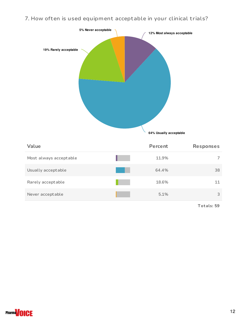7. How often is used equipment acceptable in your clinical trials?



| Value                  | Percent | <b>Responses</b> |
|------------------------|---------|------------------|
| Most always acceptable | 11.9%   |                  |
| Usually acceptable     | 64.4%   | 38               |
| Rarely acceptable      | 18.6%   | 11               |
| Never acceptable       | 5.1%    | 3                |

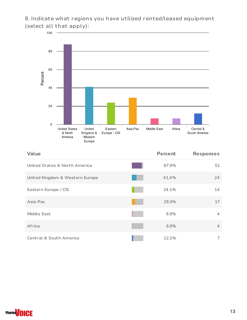8. Indicate what regions you have utilized rented/leased equipment (select all that apply):



| Value                           | <b>Percent</b> | <b>Responses</b> |
|---------------------------------|----------------|------------------|
| United States & North America   | 87.9%          | 51               |
| United Kingdom & Western Europe | 41.4%          | 24               |
| Eastern Europe / CIS            | 24.1%          | 14               |
| Asia-Pac                        | 29.3%          | 17               |
| Middle East                     | 6.9%           | 4                |
| Africa                          | 6.9%           | $\overline{4}$   |
| Central & South America         | 12.1%          | 7                |

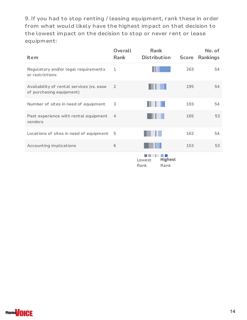9. If you had to stop renting / leasing equipment, rank these in order from what would likely have the highest impact on that decision to the lowest impact on the decision to stop or never rent or lease equipment:

| <b>Item</b>                                                           | Overall<br>Rank | <b>Rank</b><br><b>Distribution</b>       | <b>Score</b> | No. of<br><b>Rankings</b> |
|-----------------------------------------------------------------------|-----------------|------------------------------------------|--------------|---------------------------|
| Regulatory and/or legal requirements<br>or restrictions               | 1               |                                          | 263          | 54                        |
| Availability of rental services (vs. ease<br>of purchasing equipment) | 2               |                                          | 195          | 54                        |
| Number of sites in need of equipment                                  | 3               |                                          | 193          | 54                        |
| Past experience with rental equipment<br>vendors                      | $\overline{4}$  |                                          | 165          | 53                        |
| Locations of sites in need of equipment                               | 5               |                                          | 162          | 54                        |
| Accounting implications                                               | 6               |                                          | 153          | 53                        |
|                                                                       |                 | <b>Highest</b><br>Lowest<br>Rank<br>Rank |              |                           |

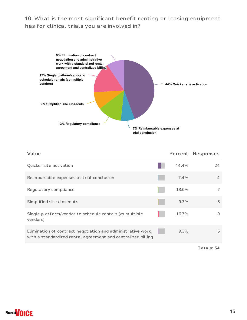### 10. What is the most significant benefit renting or leasing equipment has for clinical trials you are involved in?



| Value                                                                                                                       | Percent | <b>Responses</b> |
|-----------------------------------------------------------------------------------------------------------------------------|---------|------------------|
| Quicker site activation                                                                                                     | 44.4%   | 24               |
| Reimbursable expenses at trial conclusion                                                                                   | 7.4%    | 4                |
| Regulatory compliance                                                                                                       | 13.0%   |                  |
| Simplified site closeouts                                                                                                   | 9.3%    | 5                |
| Single platform/vendor to schedule rentals (vs multiple<br>vendors)                                                         | 16.7%   | 9                |
| Elimination of contract negotiation and administrative work<br>with a standardized rental agreement and centralized billing | $9.3\%$ | 5                |
|                                                                                                                             |         |                  |

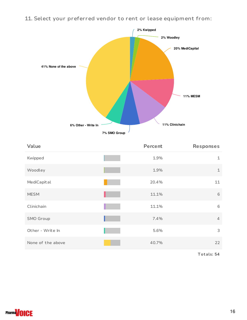11. Select your preferred vendor to rent or lease equipment from:



| Value             | Percent | Responses      |
|-------------------|---------|----------------|
| Kwipped           | 1.9%    | $\mathbf 1$    |
| Woodley           | 1.9%    | $\mathbf 1$    |
| MediCapital       | 20.4%   | 11             |
| <b>MESM</b>       | 11.1%   | 6              |
| Clinichain        | 11.1%   | 6              |
| SMO Group         | 7.4%    | $\overline{4}$ |
| Other - Write In  | 5.6%    | 3              |
| None of the above | 40.7%   | 22             |

**T ot als: 54**

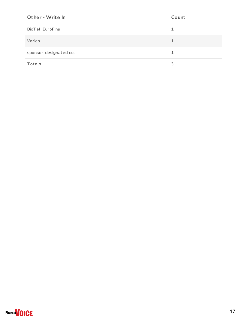| Other - Write In       | Count |
|------------------------|-------|
| BioTel, EuroFins       | 1     |
| Varies                 | 1     |
| sponsor-designated co. | 1     |
| Totals                 | 3     |

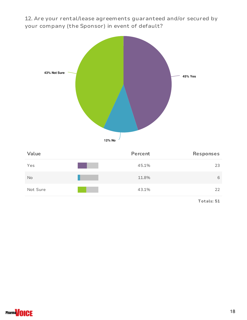12. Are your rental/lease agreements guaranteed and/or secured by your company (the Sponsor) in event of default?



| Value    | Percent | Responses |
|----------|---------|-----------|
| Yes      | 45.1%   | 23        |
| No       | 11.8%   | 6         |
| Not Sure | 43.1%   | 22        |